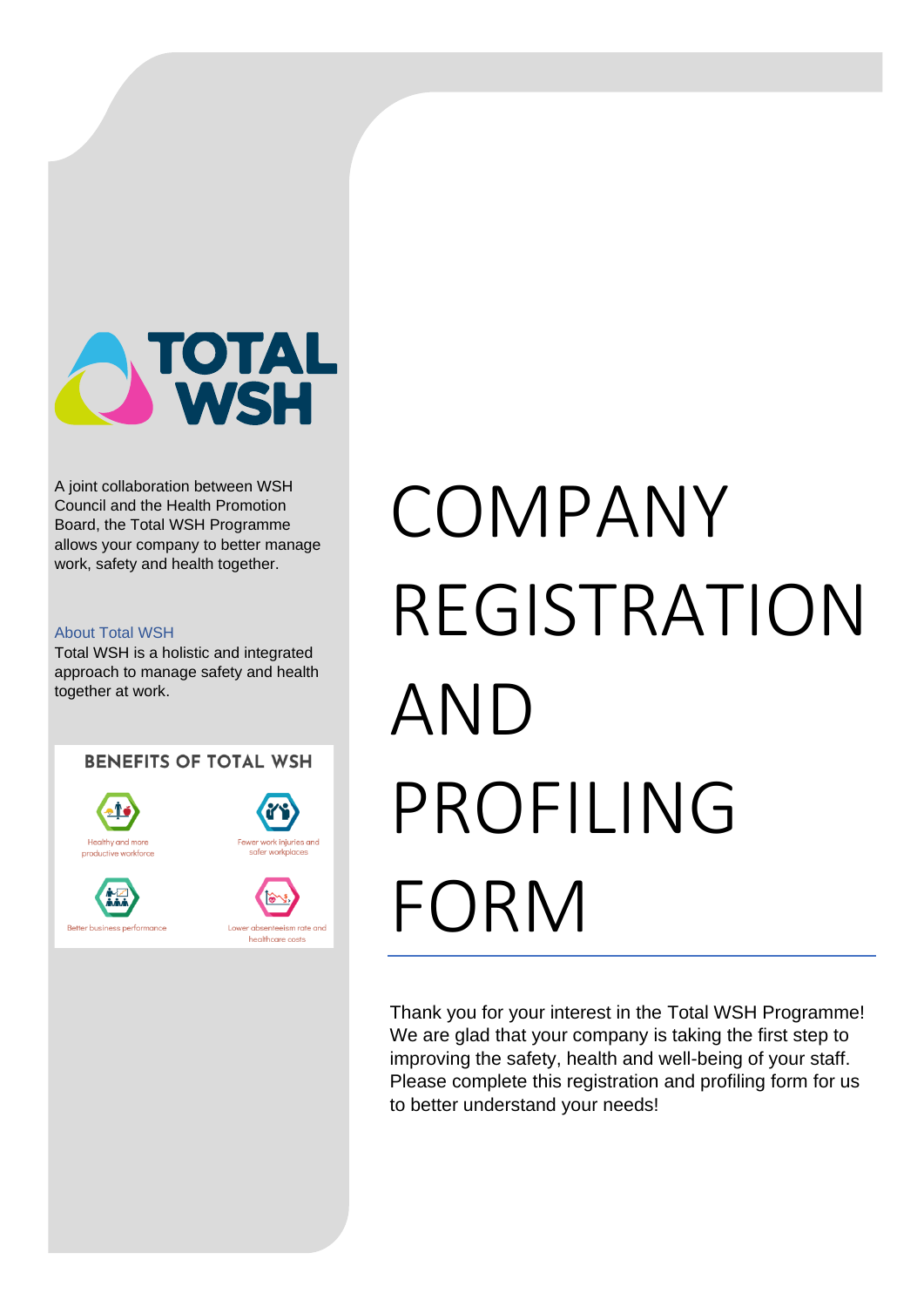

A joint collaboration between WSH Council and the Health Promotion Board, the Total WSH Programme allows your company to better manage work, safety and health together.

#### About Total WSH

Total WSH is a holistic and integrated approach to manage safety and health together at work.

**BENEFITS OF TOTAL WSH** 







# COMPANY REGISTRATION AND PROFILING FORM

Thank you for your interest in the Total WSH Programme! We are glad that your company is taking the first step to improving the safety, health and well-being of your staff. Please complete this registration and profiling form for us to better understand your needs!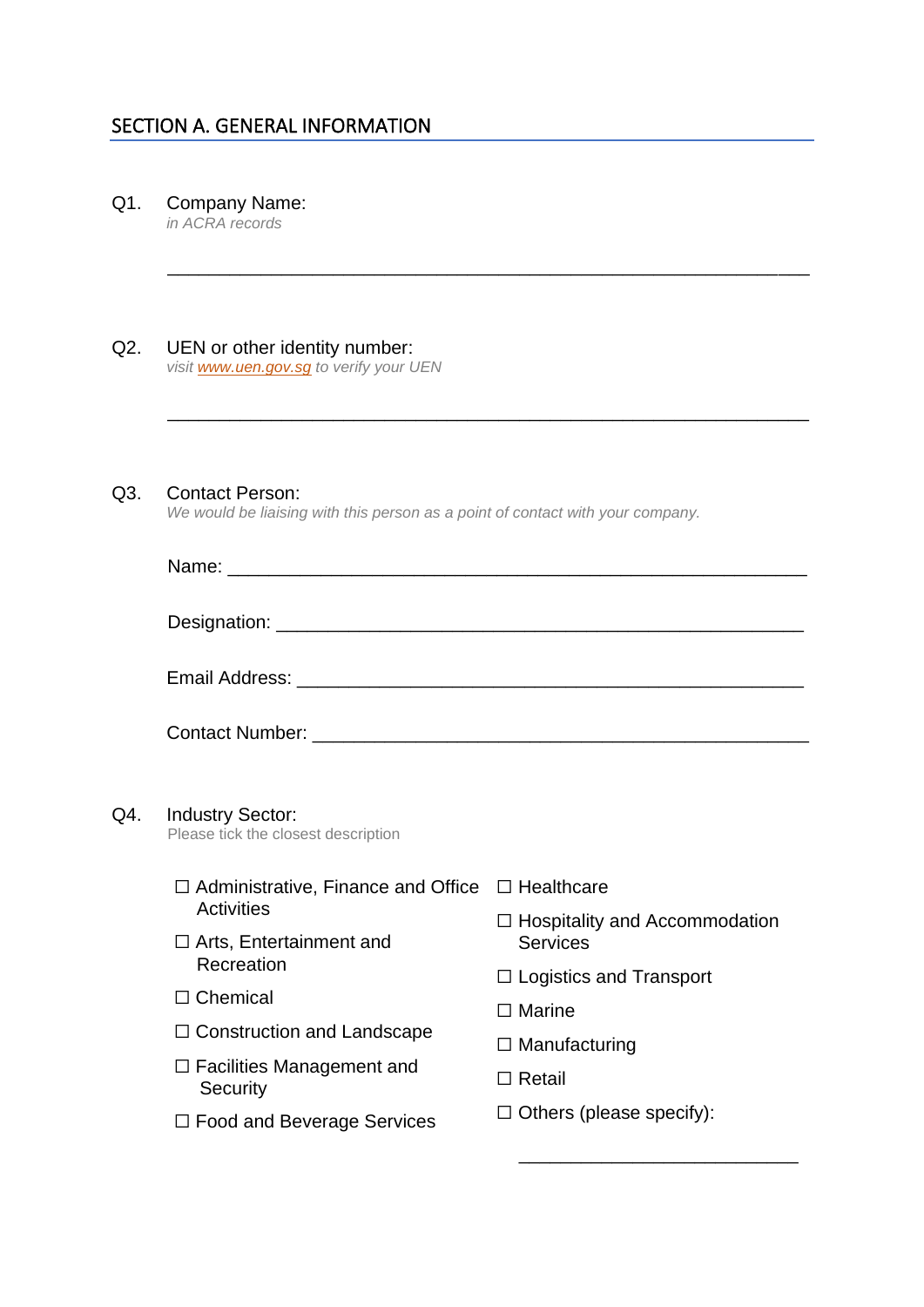## SECTION A. GENERAL INFORMATION

Q1. Company Name: *in ACRA records*

| UEN or other identity number:<br>visit www.uen.gov.sg to verify your UEN                                 |                                                             |
|----------------------------------------------------------------------------------------------------------|-------------------------------------------------------------|
| <b>Contact Person:</b><br>We would be liaising with this person as a point of contact with your company. |                                                             |
|                                                                                                          |                                                             |
|                                                                                                          |                                                             |
|                                                                                                          |                                                             |
| <b>Industry Sector:</b><br>Please tick the closest description                                           |                                                             |
|                                                                                                          | $\Box$ Administrative, Finance and Office $\Box$ Healthcare |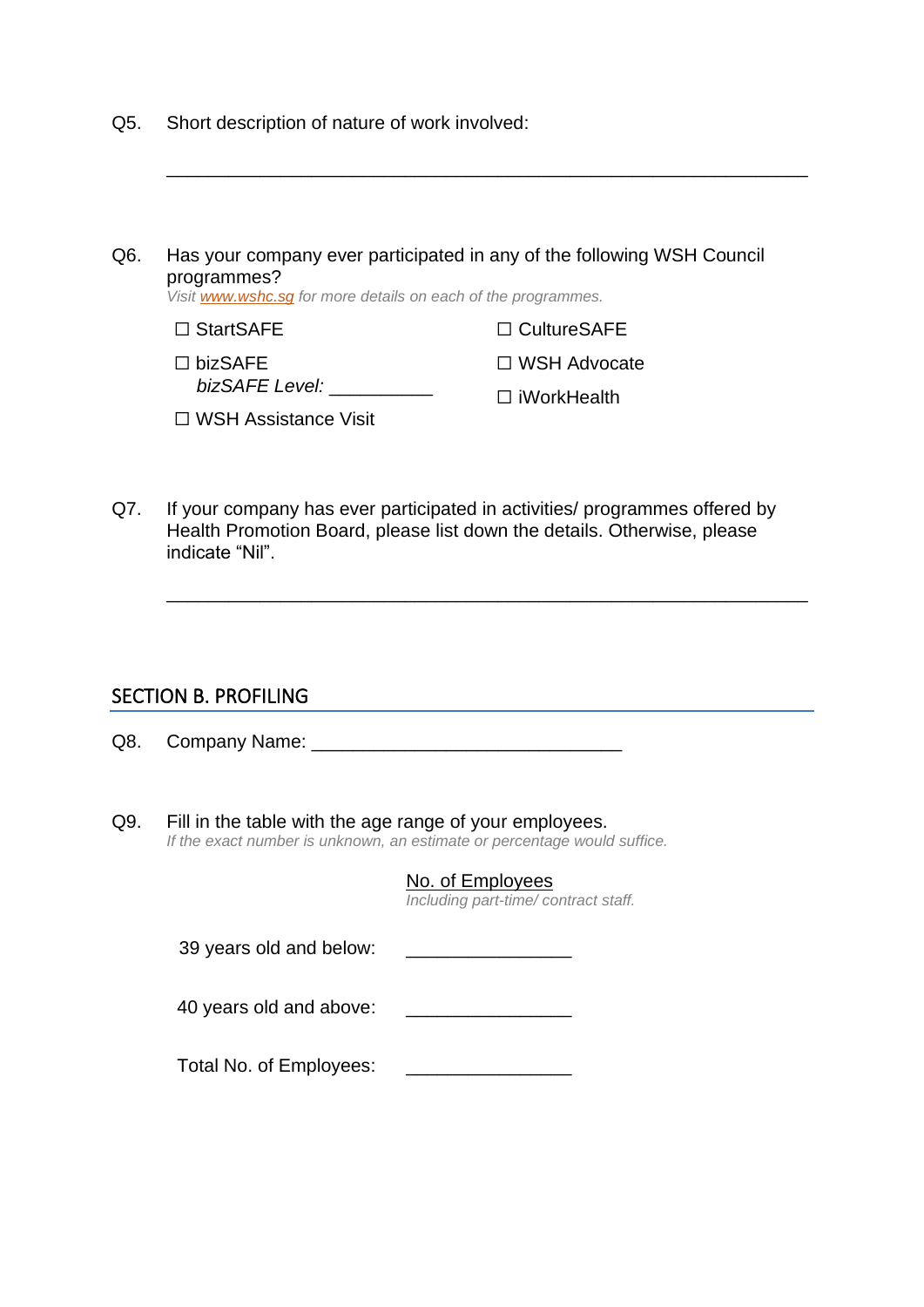- Q5. Short description of nature of work involved:
- Q6. Has your company ever participated in any of the following WSH Council programmes? *Visit [www.wshc.sg](http://www.wshc.sg/) for more details on each of the programmes.* □ StartSAFE ☐ bizSAFE *bizSAFE Level:* \_\_\_\_\_\_\_\_\_\_ ☐ WSH Assistance Visit ☐ CultureSAFE ☐ WSH Advocate ☐ iWorkHealth

\_\_\_\_\_\_\_\_\_\_\_\_\_\_\_\_\_\_\_\_\_\_\_\_\_\_\_\_\_\_\_\_\_\_\_\_\_\_\_\_\_\_\_\_\_\_\_\_\_\_\_\_\_\_\_\_\_\_\_\_\_\_

Q7. If your company has ever participated in activities/ programmes offered by Health Promotion Board, please list down the details. Otherwise, please indicate "Nil".

\_\_\_\_\_\_\_\_\_\_\_\_\_\_\_\_\_\_\_\_\_\_\_\_\_\_\_\_\_\_\_\_\_\_\_\_\_\_\_\_\_\_\_\_\_\_\_\_\_\_\_\_\_\_\_\_\_\_\_\_\_\_

<u> 1989 - Johann Barn, mars ann an t-Amhain Aonaichte ann an t-Aonaichte ann an t-Aonaichte ann an t-Aonaichte a</u>

#### SECTION B. PROFILING

Q8. Company Name: \_\_\_\_\_\_\_\_\_\_\_\_\_\_\_\_\_\_\_\_\_\_\_\_\_\_\_\_\_\_

Q9. Fill in the table with the age range of your employees. *If the exact number is unknown, an estimate or percentage would suffice.*

|                         | No. of Employees<br>Including part-time/contract staff. |
|-------------------------|---------------------------------------------------------|
| 39 years old and below: |                                                         |
| 40 years old and above: |                                                         |
| Total No. of Employees: |                                                         |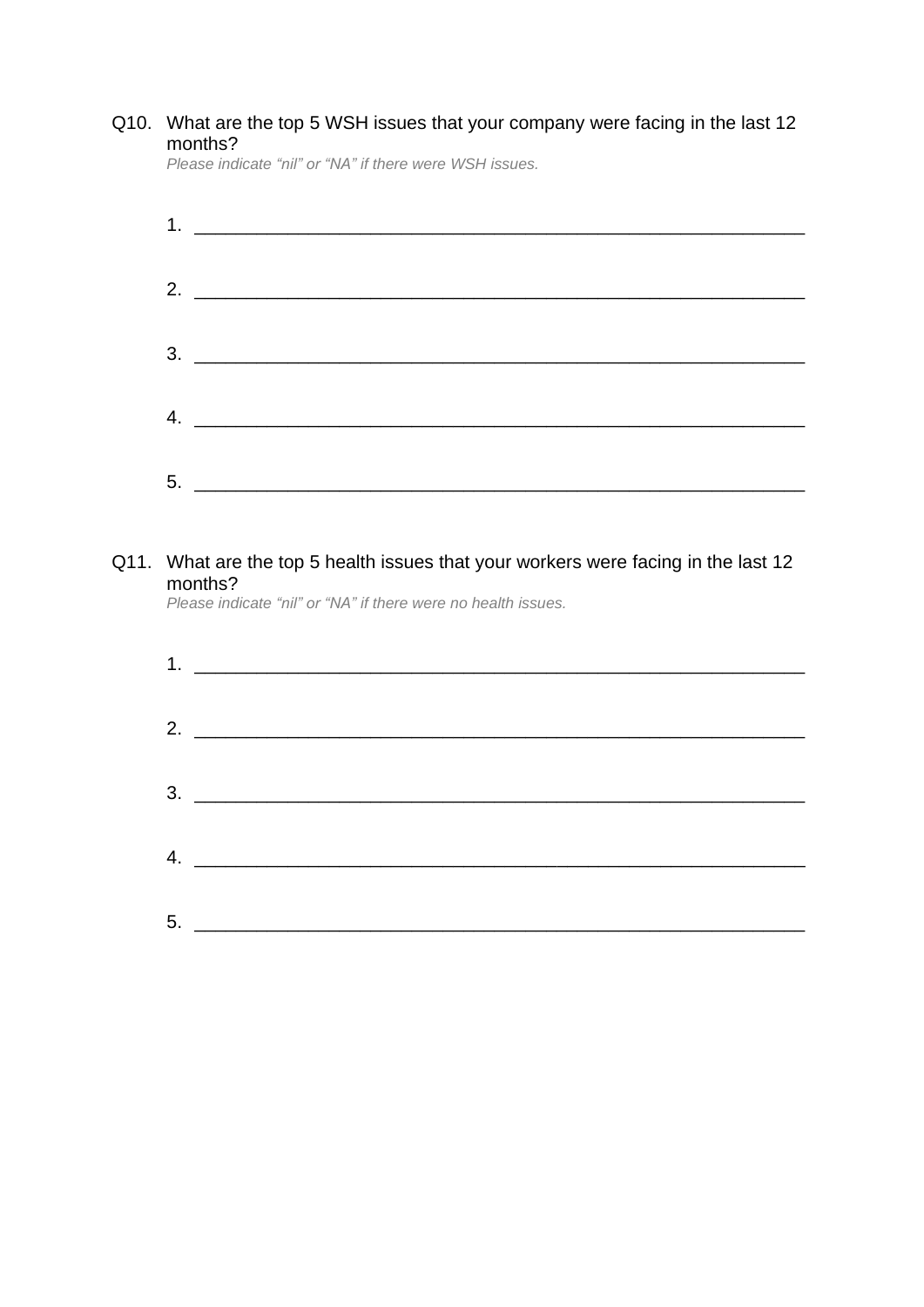### Q10. What are the top 5 WSH issues that your company were facing in the last 12 months?

Please indicate "nil" or "NA" if there were WSH issues.

Q11.

| <u> 1989 - Jan James James James James James James James James James James James James James James James James J</u>                                      |
|-----------------------------------------------------------------------------------------------------------------------------------------------------------|
|                                                                                                                                                           |
|                                                                                                                                                           |
| <u> 2002 - Jan James James James James James James James James James James James James James James James James J</u>                                      |
|                                                                                                                                                           |
|                                                                                                                                                           |
| What are the top 5 health issues that your workers were facing in the last 12<br>months?<br>Please indicate "nil" or "NA" if there were no health issues. |
|                                                                                                                                                           |
| <u> Alexandro de la contrada de la contrada de la contrada de la contrada de la contrada de la contrada de la co</u>                                      |
| <u> 1980 - Andrea Andrea Andrea Andrea Andrea Andrea Andrea Andrea Andrea Andrea Andrea Andrea Andrea Andrea An</u>                                       |
|                                                                                                                                                           |
|                                                                                                                                                           |

 $5.$   $\overline{\phantom{a}}$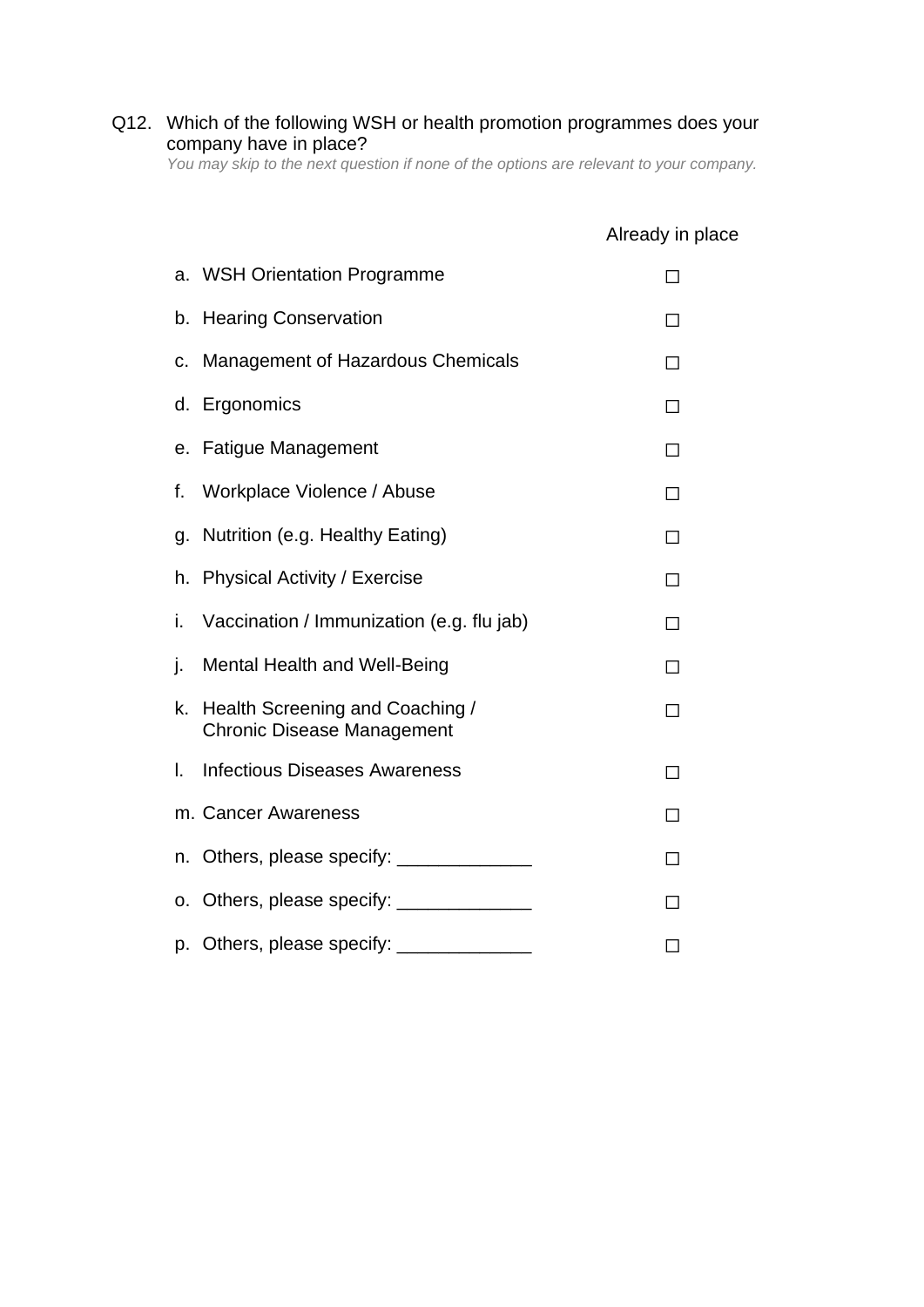#### Q12. Which of the following WSH or health promotion programmes does your company have in place?

*You may skip to the next question if none of the options are relevant to your company.*

|    |                                                                                                                                                                                                                                       | Already in place |
|----|---------------------------------------------------------------------------------------------------------------------------------------------------------------------------------------------------------------------------------------|------------------|
|    | a. WSH Orientation Programme                                                                                                                                                                                                          | П                |
| b. | <b>Hearing Conservation</b>                                                                                                                                                                                                           | П                |
| C. | <b>Management of Hazardous Chemicals</b>                                                                                                                                                                                              | П                |
|    | d. Ergonomics                                                                                                                                                                                                                         | П                |
|    | e. Fatigue Management                                                                                                                                                                                                                 | П                |
| f. | Workplace Violence / Abuse                                                                                                                                                                                                            | П                |
| g. | Nutrition (e.g. Healthy Eating)                                                                                                                                                                                                       | П                |
|    | h. Physical Activity / Exercise                                                                                                                                                                                                       | П                |
| i. | Vaccination / Immunization (e.g. flu jab)                                                                                                                                                                                             | П                |
| j. | <b>Mental Health and Well-Being</b>                                                                                                                                                                                                   | П                |
| k. | Health Screening and Coaching /<br><b>Chronic Disease Management</b>                                                                                                                                                                  | П                |
| I. | <b>Infectious Diseases Awareness</b>                                                                                                                                                                                                  | П                |
|    | m. Cancer Awareness                                                                                                                                                                                                                   | П                |
|    | n. Others, please specify: _______________                                                                                                                                                                                            | П                |
|    | o. Others, please specify: $\frac{1}{2}$ meson contains $\frac{1}{2}$ meson contains a set of the set of the set of the set of the set of the set of the set of the set of the set of the set of the set of the set of the set of the | П                |
|    | p. Others, please specify: _______________                                                                                                                                                                                            | П                |